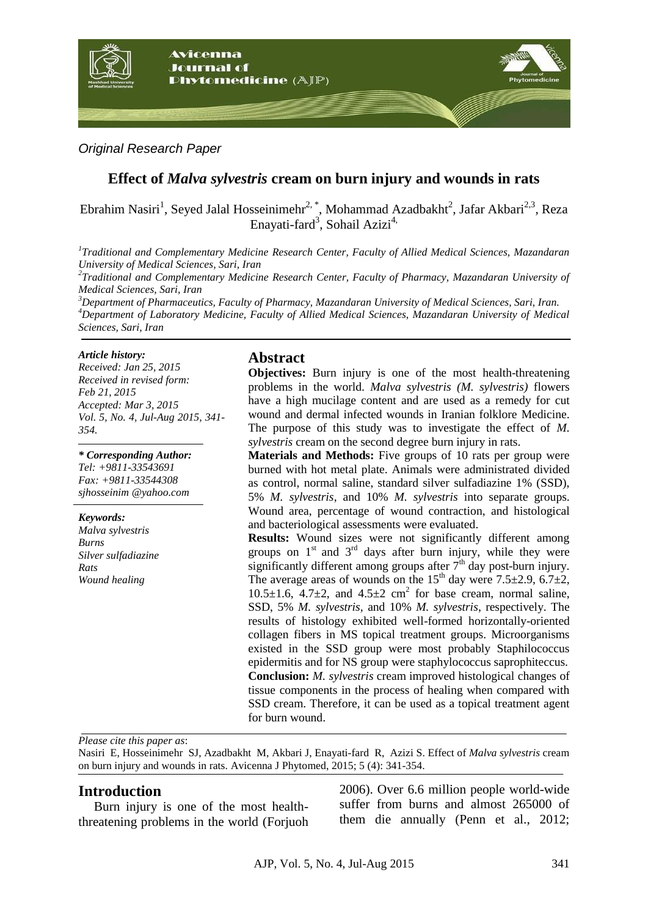

## *Original Research Paper*

# **Effect of** *Malva sylvestris* **cream on burn injury and wounds in rats**

Ebrahim Nasiri<sup>1</sup>, Seyed Jalal Hosseinimehr<sup>2, \*</sup>, Mohammad Azadbakht<sup>2</sup>, Jafar Akbari<sup>2,3</sup>, Reza Enayati-fard<sup>3</sup>, Sohail Azizi<sup>4,</sup>

*1 Traditional and Complementary Medicine Research Center, Faculty of Allied Medical Sciences, Mazandaran University of Medical Sciences, Sari, Iran*

*2 Traditional and Complementary Medicine Research Center, Faculty of Pharmacy, Mazandaran University of Medical Sciences, Sari, Iran*

*<sup>3</sup>Department of Pharmaceutics, Faculty of Pharmacy, Mazandaran University of Medical Sciences, Sari, Iran. <sup>4</sup>Department of Laboratory Medicine, Faculty of Allied Medical Sciences, Mazandaran University of Medical Sciences, Sari, Iran*

#### *Article history:*

*Received: Jan 25, 2015 Received in revised form: Feb 21, 2015 Accepted: Mar 3, 2015 Vol. 5, No. 4, Jul-Aug 2015, 341- 354.*

### *\* Corresponding Author:*

*Tel: +9811-33543691 Fax: +9811-33544308 sjhosseinim @yahoo.com*

#### *Keywords:*

*Malva sylvestris Burns Silver sulfadiazine Rats Wound healing*

## **Abstract**

**Objectives:** Burn injury is one of the most health-threatening problems in the world. *Malva sylvestris (M. sylvestris)* flowers have a high mucilage content and are used as a remedy for cut wound and dermal infected wounds in Iranian folklore Medicine. The purpose of this study was to investigate the effect of *M. sylvestris* cream on the second degree burn injury in rats.

**Materials and Methods:** Five groups of 10 rats per group were burned with hot metal plate. Animals were administrated divided as control, normal saline, standard silver sulfadiazine 1% (SSD), 5% *M. sylvestris*, and 10% *M. sylvestris* into separate groups. Wound area, percentage of wound contraction, and histological and bacteriological assessments were evaluated.

**Results:** Wound sizes were not significantly different among groups on  $1<sup>st</sup>$  and  $3<sup>rd</sup>$  days after burn injury, while they were significantly different among groups after  $7<sup>th</sup>$  day post-burn injury. The average areas of wounds on the  $15<sup>th</sup>$  day were  $7.5\pm2.9$ ,  $6.7\pm2$ ,  $10.5\pm1.6$ ,  $4.7\pm2$ , and  $4.5\pm2$  cm<sup>2</sup> for base cream, normal saline, SSD, 5% *M. sylvestris,* and 10% *M. sylvestris*, respectively. The results of histology exhibited well-formed horizontally-oriented collagen fibers in MS topical treatment groups. Microorganisms existed in the SSD group were most probably Staphilococcus epidermitis and for NS group were staphylococcus saprophiteccus. **Conclusion:** *M. sylvestris* cream improved histological changes of tissue components in the process of healing when compared with SSD cream. Therefore, it can be used as a topical treatment agent for burn wound.

*Please cite this paper as*:

Nasiri E, Hosseinimehr SJ, Azadbakht M, Akbari J, Enayati-fard R, Azizi S. Effect of *Malva sylvestris* cream on burn injury and wounds in rats. Avicenna J Phytomed, 2015; 5 (4): 341-354.

### **Introduction**

Burn injury is one of the most healththreatening problems in the world (Forjuoh 2006). Over 6.6 million people world-wide suffer from burns and almost 265000 of them die annually (Penn et al., 2012;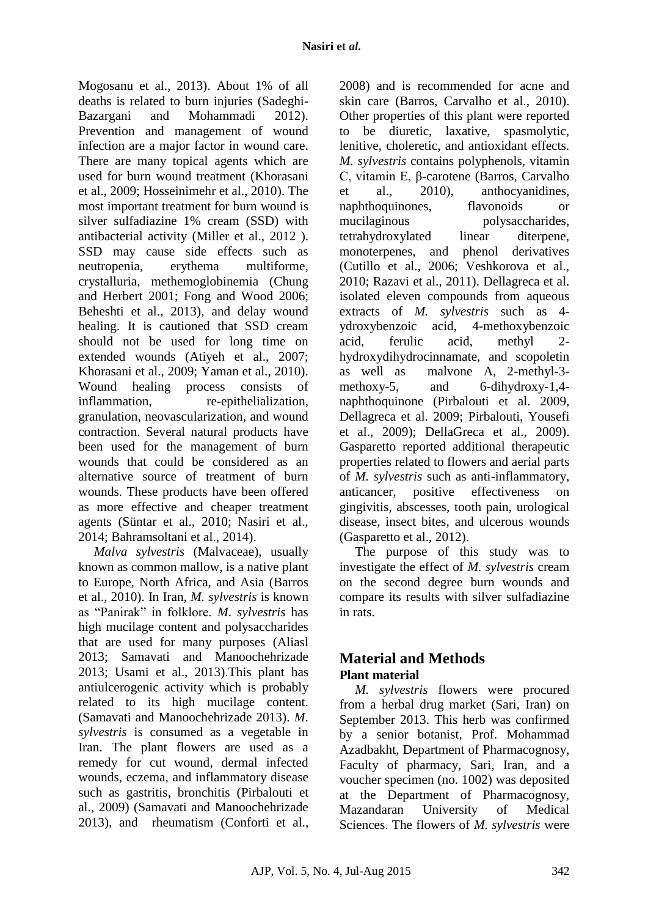Mogosanu et al., 2013). About 1% of all deaths is related to burn injuries (Sadeghi-Bazargani and Mohammadi 2012). Prevention and management of wound infection are a major factor in wound care. There are many topical agents which are used for burn wound treatment (Khorasani et al., 2009; Hosseinimehr et al., 2010). The most important treatment for burn wound is silver sulfadiazine 1% cream (SSD) with antibacterial activity (Miller et al., 2012 ). SSD may cause side effects such as neutropenia, erythema multiforme, crystalluria, methemoglobinemia (Chung and Herbert 2001; Fong and Wood 2006; Beheshti et al., 2013), and delay wound healing. It is cautioned that SSD cream should not be used for long time on extended wounds (Atiyeh et al., 2007; Khorasani et al., 2009; Yaman et al., 2010). Wound healing process consists of inflammation, re-epithelialization, granulation, neovascularization, and wound contraction. Several natural products have been used for the management of burn wounds that could be considered as an alternative source of treatment of burn wounds. These products have been offered as more effective and cheaper treatment agents (Süntar et al., 2010; Nasiri et al., 2014; Bahramsoltani et al., 2014).

*Malva sylvestris* (Malvaceae), usually known as common mallow, is a native plant to Europe, North Africa, and Asia (Barros et al., 2010). In Iran, *M. sylvestris* is known as "Panirak" in folklore. *M*. *sylvestris* has high mucilage content and polysaccharides that are used for many purposes (Aliasl 2013; Samavati and Manoochehrizade 2013; Usami et al., 2013).This plant has antiulcerogenic activity which is probably related to its high mucilage content. (Samavati and Manoochehrizade 2013). *M*. *sylvestris* is consumed as a vegetable in Iran. The plant flowers are used as a remedy for cut wound, dermal infected wounds, eczema, and inflammatory disease such as gastritis, bronchitis (Pirbalouti et al., 2009) (Samavati and Manoochehrizade 2013), and rheumatism (Conforti et al., 2008) and is recommended for acne and skin care (Barros, Carvalho et al., 2010). Other properties of this plant were reported to be diuretic, laxative, spasmolytic, lenitive, choleretic, and antioxidant effects. *M. sylvestris* contains polyphenols, vitamin C, vitamin E, β-carotene (Barros, Carvalho et al., 2010), anthoc vanidines. et al., 2010), anthocyanidines, naphthoquinones, flavonoids or mucilaginous polysaccharides, tetrahydroxylated linear diterpene, monoterpenes, and phenol derivatives (Cutillo et al., 2006; Veshkorova et al., 2010; Razavi et al., 2011). Dellagreca et al. isolated eleven compounds from aqueous extracts of *M. sylvestris* such as 4 ydroxybenzoic acid, 4-methoxybenzoic acid, ferulic acid, methyl 2 hydroxydihydrocinnamate, and scopoletin as well as malvone A, 2-methyl-3 methoxy-5, and 6-dihydroxy-1,4 naphthoquinone (Pirbalouti et al. 2009, Dellagreca et al. 2009; Pirbalouti, Yousefi et al., 2009); DellaGreca et al., 2009). Gasparetto reported additional therapeutic properties related to flowers and aerial parts of *M. sylvestris* such as anti-inflammatory, anticancer, positive effectiveness on gingivitis, abscesses, tooth pain, urological disease, insect bites, and ulcerous wounds (Gasparetto et al., 2012).

The purpose of this study was to investigate the effect of *M. sylvestris* cream on the second degree burn wounds and compare its results with silver sulfadiazine in rats.

# **Material and Methods Plant material**

*M. sylvestris* flowers were procured from a herbal drug market (Sari, Iran) on September 2013. This herb was confirmed by a senior botanist, Prof. Mohammad Azadbakht, Department of Pharmacognosy, Faculty of pharmacy, Sari, Iran, and a voucher specimen (no. 1002) was deposited at the Department of Pharmacognosy, Mazandaran University of Medical Sciences. The flowers of *M. sylvestris* were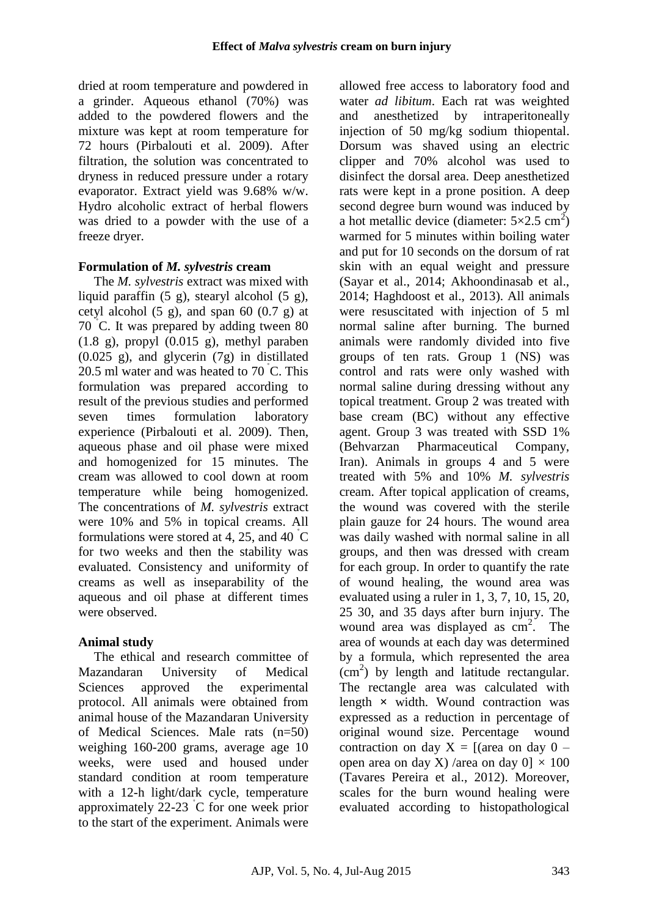dried at room temperature and powdered in a grinder. Aqueous ethanol (70%) was added to the powdered flowers and the mixture was kept at room temperature for 72 hours (Pirbalouti et al. 2009). After filtration, the solution was concentrated to dryness in reduced pressure under a rotary evaporator. Extract yield was 9.68% w/w. Hydro alcoholic extract of herbal flowers was dried to a powder with the use of a freeze dryer.

## **Formulation of** *M. sylvestris* **cream**

The *M. sylvestris* extract was mixed with liquid paraffin (5 g), stearyl alcohol (5 g), cetyl alcohol  $(5 \text{ g})$ , and span  $60 (0.7 \text{ g})$  at 70 ˚C. It was prepared by adding tween 80  $(1.8 \text{ g})$ , propyl  $(0.015 \text{ g})$ , methyl paraben (0.025 g), and glycerin (7g) in distillated 20.5 ml water and was heated to  $70^{\circ}$ C. This formulation was prepared according to result of the previous studies and performed seven times formulation laboratory experience (Pirbalouti et al. 2009). Then, aqueous phase and oil phase were mixed and homogenized for 15 minutes. The cream was allowed to cool down at room temperature while being homogenized. The concentrations of *M. sylvestris* extract were 10% and 5% in topical creams. All formulations were stored at 4, 25, and 40  $\degree$ C for two weeks and then the stability was evaluated. Consistency and uniformity of creams as well as inseparability of the aqueous and oil phase at different times were observed.

# **Animal study**

The ethical and research committee of Mazandaran University of Medical Sciences approved the experimental protocol. All animals were obtained from animal house of the Mazandaran University of Medical Sciences. Male rats (n=50) weighing 160-200 grams, average age 10 weeks, were used and housed under standard condition at room temperature with a 12-h light/dark cycle, temperature approximately 22-23 ˚C for one week prior to the start of the experiment. Animals were allowed free access to laboratory food and water *ad libitum*. Each rat was weighted and anesthetized by intraperitoneally injection of 50 mg/kg sodium thiopental. Dorsum was shaved using an electric clipper and 70% alcohol was used to disinfect the dorsal area. Deep anesthetized rats were kept in a prone position. A deep second degree burn wound was induced by a hot metallic device (diameter:  $5 \times 2.5$  cm<sup>2</sup>) warmed for 5 minutes within boiling water and put for 10 seconds on the dorsum of rat skin with an equal weight and pressure (Sayar et al., 2014; Akhoondinasab et al., 2014; Haghdoost et al., 2013). All animals were resuscitated with injection of 5 ml normal saline after burning. The burned animals were randomly divided into five groups of ten rats. Group 1 (NS) was control and rats were only washed with normal saline during dressing without any topical treatment. Group 2 was treated with base cream (BC) without any effective agent. Group 3 was treated with SSD 1% (Behvarzan Pharmaceutical Company, Iran). Animals in groups 4 and 5 were treated with 5% and 10% *M. sylvestris* cream. After topical application of creams, the wound was covered with the sterile plain gauze for 24 hours. The wound area was daily washed with normal saline in all groups, and then was dressed with cream for each group. In order to quantify the rate of wound healing, the wound area was evaluated using a ruler in 1, 3, 7, 10, 15, 20, 25 30, and 35 days after burn injury. The wound area was displayed as cm<sup>2</sup>. The area of wounds at each day was determined by a formula, which represented the area (cm<sup>2</sup> ) by length and latitude rectangular. The rectangle area was calculated with length  $\times$  width. Wound contraction was expressed as a reduction in percentage of original wound size. Percentage wound contraction on day  $X = [(area on day 0$ open area on day X) /area on day  $0 \times 100$ (Tavares Pereira et al., 2012). Moreover, scales for the burn wound healing were evaluated according to histopathological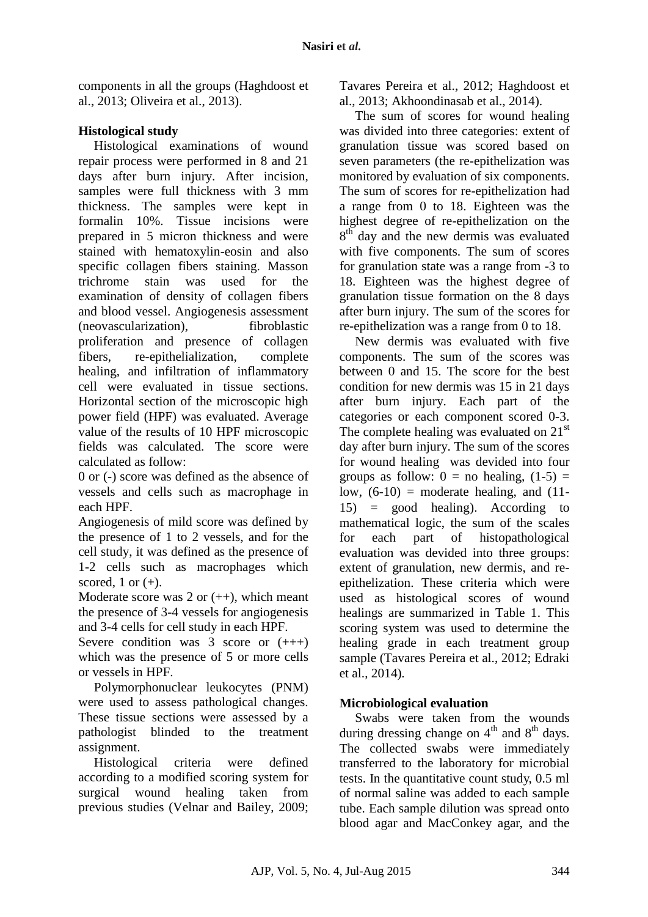components in all the groups (Haghdoost et al., 2013; Oliveira et al., 2013).

# **Histological study**

Histological examinations of wound repair process were performed in 8 and 21 days after burn injury. After incision, samples were full thickness with 3 mm thickness. The samples were kept in formalin 10%. Tissue incisions were prepared in 5 micron thickness and were stained with hematoxylin-eosin and also specific collagen fibers staining. Masson trichrome stain was used for the examination of density of collagen fibers and blood vessel. Angiogenesis assessment (neovascularization), fibroblastic proliferation and presence of collagen fibers, re-epithelialization, complete healing, and infiltration of inflammatory cell were evaluated in tissue sections. Horizontal section of the microscopic high power field (HPF) was evaluated. Average value of the results of 10 HPF microscopic fields was calculated. The score were calculated as follow:

0 or (-) score was defined as the absence of vessels and cells such as macrophage in each HPF.

Angiogenesis of mild score was defined by the presence of 1 to 2 vessels, and for the cell study, it was defined as the presence of 1-2 cells such as macrophages which scored, 1 or  $(+)$ .

Moderate score was  $2$  or  $(++)$ , which meant the presence of 3-4 vessels for angiogenesis and 3-4 cells for cell study in each HPF.

Severe condition was  $3 \text{ score}$  or  $(++)$ which was the presence of 5 or more cells or vessels in HPF.

Polymorphonuclear leukocytes (PNM) were used to assess pathological changes. These tissue sections were assessed by a pathologist blinded to the treatment assignment.

Histological criteria were defined according to a modified scoring system for surgical wound healing taken from previous studies (Velnar and Bailey, 2009; Tavares Pereira et al., 2012; Haghdoost et al., 2013; Akhoondinasab et al., 2014).

The sum of scores for wound healing was divided into three categories: extent of granulation tissue was scored based on seven parameters (the re-epithelization was monitored by evaluation of six components. The sum of scores for re-epithelization had a range from 0 to 18. Eighteen was the highest degree of re-epithelization on the 8<sup>th</sup> day and the new dermis was evaluated with five components. The sum of scores for granulation state was a range from -3 to 18. Eighteen was the highest degree of granulation tissue formation on the 8 days after burn injury. The sum of the scores for re-epithelization was a range from 0 to 18.

New dermis was evaluated with five components. The sum of the scores was between 0 and 15. The score for the best condition for new dermis was 15 in 21 days after burn injury. Each part of the categories or each component scored 0-3. The complete healing was evaluated on  $21<sup>st</sup>$ day after burn injury. The sum of the scores for wound healing was devided into four groups as follow:  $0 =$  no healing,  $(1-5) =$ low,  $(6-10)$  = moderate healing, and  $(11-$ 15) = good healing). According to mathematical logic, the sum of the scales for each part of histopathological evaluation was devided into three groups: extent of granulation, new dermis, and reepithelization. These criteria which were used as histological scores of wound healings are summarized in Table 1. This scoring system was used to determine the healing grade in each treatment group sample (Tavares Pereira et al., 2012; Edraki et al., 2014)*.*

# **Microbiological evaluation**

Swabs were taken from the wounds during dressing change on  $4<sup>th</sup>$  and  $8<sup>th</sup>$  days. The collected swabs were immediately transferred to the laboratory for microbial tests. In the quantitative count study, 0.5 ml of normal saline was added to each sample tube. Each sample dilution was spread onto blood agar and MacConkey agar, and the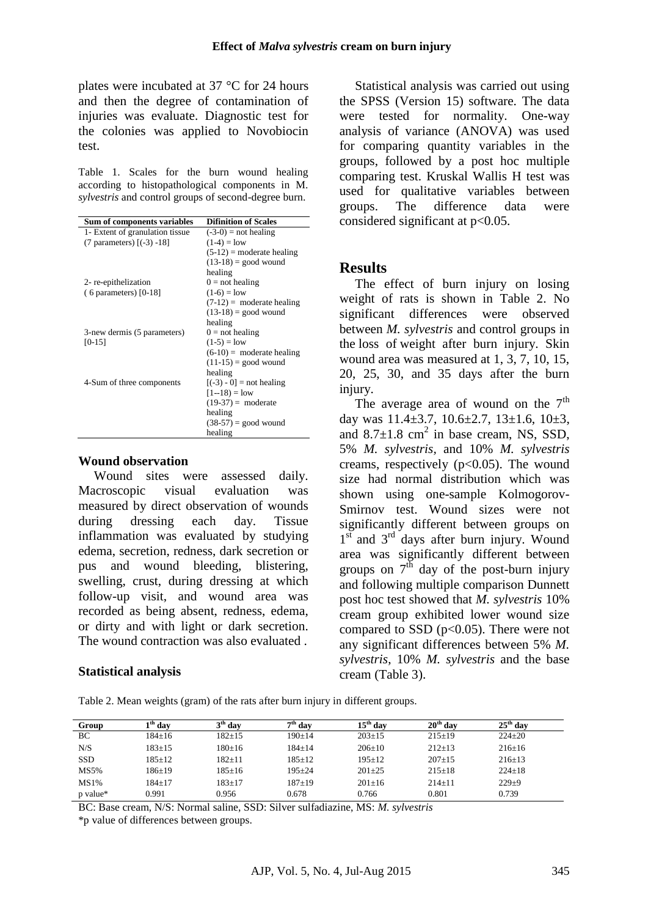plates were incubated at 37 °C for 24 hours and then the degree of contamination of injuries was evaluate. Diagnostic test for the colonies was applied to Novobiocin test.

Table 1. Scales for the burn wound healing according to histopathological components in M. *sylvestris* and control groups of second-degree burn.

| Sum of components variables     | <b>Difinition of Scales</b> |
|---------------------------------|-----------------------------|
| 1- Extent of granulation tissue | $(-3-0)$ = not healing      |
| (7 parameters) $[(-3) -18]$     | $(1-4) =$ low               |
|                                 | $(5-12)$ = moderate healing |
|                                 | $(13-18)$ = good wound      |
|                                 | healing                     |
| 2-re-epithelization             | $0 = not$ healing           |
| $(6$ parameters) $[0-18]$       | $(1-6) =$ low               |
|                                 | $(7-12)$ = moderate healing |
|                                 | $(13-18)$ = good wound      |
|                                 | healing                     |
| 3-new dermis (5 parameters)     | $0 = \text{not}$ healing    |
| $[0-15]$                        | $(1-5) =$ low               |
|                                 | $(6-10)$ = moderate healing |
|                                 | $(11-15)$ = good wound      |
|                                 | healing                     |
| 4-Sum of three components       | $[(-3) - 0]$ = not healing  |
|                                 | $[1 - 18] = low$            |
|                                 | $(19-37)$ = moderate        |
|                                 | healing                     |
|                                 | $(38-57)$ = good wound      |
|                                 | healing                     |

#### **Wound observation**

Wound sites were assessed daily. Macroscopic visual evaluation was measured by direct observation of wounds during dressing each day. Tissue inflammation was evaluated by studying edema, secretion, redness, dark secretion or pus and wound bleeding, blistering, swelling, crust, during dressing at which follow-up visit, and wound area was recorded as being absent, redness, edema, or dirty and with light or dark secretion. The wound contraction was also evaluated .

### **Statistical analysis**

Statistical analysis was carried out using the SPSS (Version 15) software. The data were tested for normality. One-way analysis of variance (ANOVA) was used for comparing quantity variables in the groups, followed by a post hoc multiple comparing test. Kruskal Wallis H test was used for qualitative variables between groups. The difference data were considered significant at p<0.05.

## **Results**

The effect of burn injury on losing weight of rats is shown in Table 2. No significant differences were observed between *M. sylvestris* and control groups in the loss of weight after burn injury. Skin wound area was measured at 1, 3, 7, 10, 15, 20, 25, 30, and 35 days after the burn injury.

The average area of wound on the  $7<sup>th</sup>$ day was  $11.4\pm3.7$ ,  $10.6\pm2.7$ ,  $13\pm1.6$ ,  $10\pm3$ , and  $8.7\pm1.8$  cm<sup>2</sup> in base cream, NS, SSD, 5% *M. sylvestris,* and 10% *M. sylvestris* creams, respectively  $(p<0.05)$ . The wound size had normal distribution which was shown using one-sample Kolmogorov-Smirnov test. Wound sizes were not significantly different between groups on 1<sup>st</sup> and 3<sup>rd</sup> days after burn injury. Wound area was significantly different between groups on  $7<sup>th</sup>$  day of the post-burn injury and following multiple comparison Dunnett post hoc test showed that *M. sylvestris* 10% cream group exhibited lower wound size compared to SSD  $(p<0.05)$ . There were not any significant differences between 5% *M. sylvestris*, 10% *M. sylvestris* and the base cream (Table 3).

Table 2. Mean weights (gram) of the rats after burn injury in different groups.

| Group      | $\mathbf{u}^{\mathrm{m}}$ day | 3 <sup>th</sup> dav | $7th$ day    | $15^{\mathrm{th}}$ dav | $20th$ day   | $25th$ day   |
|------------|-------------------------------|---------------------|--------------|------------------------|--------------|--------------|
| BC         | $184 \pm 16$                  | $182 + 15$          | $190 \pm 14$ | $203 \pm 15$           | $215 \pm 19$ | $224 \pm 20$ |
| N/S        | $183 \pm 15$                  | $180+16$            | $184 + 14$   | $206+10$               | $212 \pm 13$ | $216 \pm 16$ |
| <b>SSD</b> | $185 \pm 12$                  | $182 + 11$          | $185 \pm 12$ | $195+12$               | $207+15$     | $216 \pm 13$ |
| MS5%       | $186 \pm 19$                  | $185 \pm 16$        | $195 + 24$   | $201 \pm 25$           | $215 \pm 18$ | $224 \pm 18$ |
| MS1%       | $184 + 17$                    | $183 + 17$          | $187+19$     | $201+16$               | $214+11$     | $229+9$      |
| p value*   | 0.991                         | 0.956               | 0.678        | 0.766                  | 0.801        | 0.739        |

BC: Base cream, N/S: Normal saline, SSD: Silver sulfadiazine, MS: *M. sylvestris*

\*p value of differences between groups.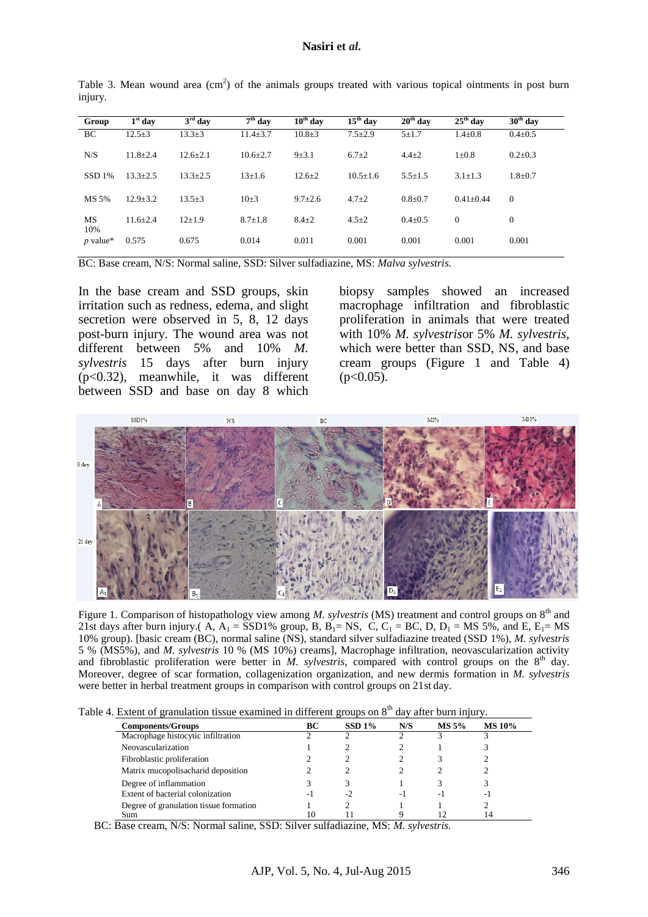| Group         | $1st$ day    | $3rd$ day    | $7th$ day      | $10th$ day    | $15th$ day    | $20th$ day    | $25th$ day      | $30th$ day    |
|---------------|--------------|--------------|----------------|---------------|---------------|---------------|-----------------|---------------|
| BC            | $12.5+3$     | $13.3 \pm 3$ | $11.4 \pm 3.7$ | $10.8 + 3$    | $7.5 \pm 2.9$ | $5 + 1.7$     | $1.4 \pm 0.8$   | $0.4 \pm 0.5$ |
| N/S           | $11.8 + 2.4$ | $12.6 + 2.1$ | $10.6 + 2.7$   | $9 + 3.1$     | $6.7 + 2$     | $4.4 \pm 2$   | $1\pm0.8$       | $0.2 \pm 0.3$ |
| <b>SSD 1%</b> | $13.3 + 2.5$ | $13.3 + 2.5$ | $13+1.6$       | $12.6 + 2$    | $10.5 + 1.6$  | $5.5 \pm 1.5$ | $3.1 \pm 1.3$   | $1.8 + 0.7$   |
| MS 5%         | $12.9 + 3.2$ | $13.5 \pm 3$ | $10\pm3$       | $9.7 \pm 2.6$ | $4.7 + 2$     | $0.8 + 0.7$   | $0.41 \pm 0.44$ | $\theta$      |
| MS<br>10%     | $11.6 + 2.4$ | $12+1.9$     | $8.7 + 1.8$    | $8.4 \pm 2$   | $4.5 \pm 2$   | $0.4 \pm 0.5$ | $\mathbf{0}$    | $\mathbf{0}$  |
| $p$ value*    | 0.575        | 0.675        | 0.014          | 0.011         | 0.001         | 0.001         | 0.001           | 0.001         |

Table 3. Mean wound area  $(cm<sup>2</sup>)$  of the animals groups treated with various topical ointments in post burn injury.

BC: Base cream, N/S: Normal saline, SSD: Silver sulfadiazine, MS: *Malva sylvestris.*

In the base cream and SSD groups, skin irritation such as redness, edema, and slight secretion were observed in 5, 8, 12 days post-burn injury. The wound area was not different between 5% and 10% *M. sylvestris* 15 days after burn injury (p<0.32), meanwhile, it was different between SSD and base on day 8 which biopsy samples showed an increased macrophage infiltration and fibroblastic proliferation in animals that were treated with 10% *M. sylvestris*or 5% *M. sylvestris*, which were better than SSD, NS, and base cream groups (Figure 1 and Table 4)  $(p<0.05)$ .



Figure 1. Comparison of histopathology view among *M. sylvestris* (MS) treatment and control groups on 8<sup>th</sup> and 21st days after burn injury.( A,  $A_1 =$  SSD1% group, B,  $B_1 =$  NS, C, C<sub>1</sub> = BC, D, D<sub>1</sub> = MS 5%, and E, E<sub>1</sub>= MS 10% group). [basic cream (BC), normal saline (NS), standard silver sulfadiazine treated (SSD 1%), *M. sylvestris* 5 % (MS5%), and *M. sylvestris* 10 % (MS 10%) creams], Macrophage infiltration, neovascularization activity and fibroblastic proliferation were better in *M. sylvestris*, compared with control groups on the  $8<sup>th</sup>$  day. Moreover, degree of scar formation, collagenization organization, and new dermis formation in *M. sylvestris* were better in herbal treatment groups in comparison with control groups on 21st day.

|  |  | Table 4. Extent of granulation tissue examined in different groups on 8 <sup>th</sup> day after burn injury. |  |  |  |  |  |
|--|--|--------------------------------------------------------------------------------------------------------------|--|--|--|--|--|
|  |  |                                                                                                              |  |  |  |  |  |

| <b>Components/Groups</b>               | BС  | $SSD1\%$ | N/S | $MS 5\%$ | <b>MS 10%</b> |
|----------------------------------------|-----|----------|-----|----------|---------------|
| Macrophage histocytic infiltration     |     |          |     |          |               |
| Neovascularization                     |     |          |     |          |               |
| Fibroblastic proliferation             |     |          |     |          |               |
| Matrix mucopolisacharid deposition     |     |          |     |          |               |
| Degree of inflammation                 |     |          |     |          |               |
| Extent of bacterial colonization       | - 1 | $-2$     | - 1 | - 1      | ۰.            |
| Degree of granulation tissue formation |     |          |     |          |               |
| Sum                                    |     |          |     |          |               |

BC: Base cream, N/S: Normal saline, SSD: Silver sulfadiazine, MS: *M. sylvestris.*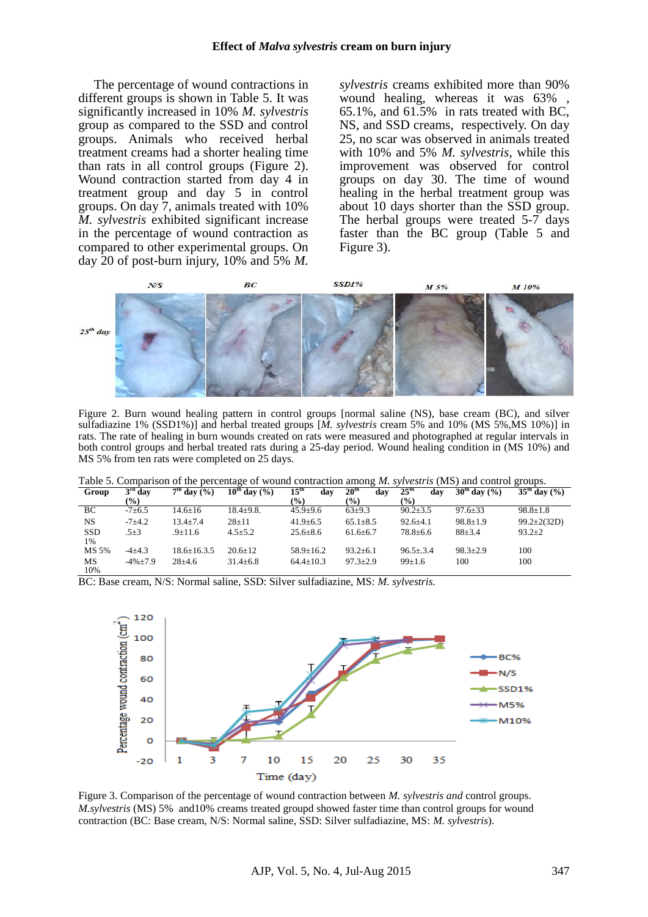The percentage of wound contractions in different groups is shown in Table 5. It was significantly increased in 10% *M. sylvestris* group as compared to the SSD and control groups. Animals who received herbal treatment creams had a shorter healing time than rats in all control groups (Figure 2). Wound contraction started from day 4 in treatment group and day 5 in control groups. On day 7, animals treated with 10% *M. sylvestris* exhibited significant increase in the percentage of wound contraction as compared to other experimental groups. On day 20 of post-burn injury, 10% and 5% *M.*  *sylvestris* creams exhibited more than 90% wound healing, whereas it was 63% 65.1%, and 61.5% in rats treated with BC, NS, and SSD creams, respectively. On day 25, no scar was observed in animals treated with 10% and 5% *M. sylvestris*, while this improvement was observed for control groups on day 30. The time of wound healing in the herbal treatment group was about 10 days shorter than the SSD group. The herbal groups were treated 5-7 days faster than the BC group (Table 5 and Figure 3).



Figure 2. Burn wound healing pattern in control groups [normal saline (NS), base cream (BC), and silver sulfadiazine 1% (SSD1%)] and herbal treated groups [*M. sylvestris* cream 5% and 10% (MS 5%,MS 10%)] in rats. The rate of healing in burn wounds created on rats were measured and photographed at regular intervals in both control groups and herbal treated rats during a 25-day period. Wound healing condition in (MS 10%) and MS 5% from ten rats were completed on 25 days.

|  |  |  | Table 5. Comparison of the percentage of wound contraction among <i>M. sylvestris</i> (MS) and control groups. |  |
|--|--|--|----------------------------------------------------------------------------------------------------------------|--|
|  |  |  |                                                                                                                |  |

| Group            | $3rd$ day     | $7th$ day $(%$ ) | $10^{th}$ day $(%)$ | 15 <sup>th</sup><br>dav | c<br>20 <sup>th</sup><br>day | $25^{\rm th}$<br>dav | $30^{\text{th}}$ day $(\% )$ | o<br>$35^{\text{th}}$ day $(%)$ |
|------------------|---------------|------------------|---------------------|-------------------------|------------------------------|----------------------|------------------------------|---------------------------------|
|                  | $\frac{9}{0}$ |                  |                     | $\frac{1}{2}$           | $\frac{1}{2}$                | $($ %)               |                              |                                 |
| BC               | $-7+6.5$      | $14.6 \pm 16$    | $18.4 + 9.8$ .      | $45.9 \pm 9.6$          | $63+9.3$                     | $90.2 \pm 3.5$       | $97.6 \pm 33$                | $98.8 \pm 1.8$                  |
| NS               | $-7+4.2$      | $13.4 \pm 7.4$   | $28 + 11$           | $41.9 \pm 6.5$          | $65.1 \pm 8.5$               | $92.6 \pm 4.1$       | $98.8 \pm 1.9$               | $99.2 \pm 2(32D)$               |
| <b>SSD</b><br>1% | $.5 + 3$      | .9±11.6          | $4.5 \pm 5.2$       | $25.6 \pm 8.6$          | $61.6 \pm 6.7$               | $78.8 \pm 6.6$       | $88 + 3.4$                   | $93.2 \pm 2$                    |
| MS 5%            | $-4+4.3$      | $18.6 + 16.3.5$  | $20.6 + 12$         | $58.9 \pm 16.2$         | $93.2 \pm 6.1$               | $96.5 + 3.4$         | $98.3 + 2.9$                 | 100                             |
| MS<br>10%        | $-4\% + 7.9$  | $28 + 4.6$       | $31.4 \pm 6.8$      | $64.4 \pm 10.3$         | $97.3 + 2.9$                 | $99 \pm 1.6$         | 100                          | 100                             |

BC: Base cream, N/S: Normal saline, SSD: Silver sulfadiazine, MS: *M. sylvestris.*



Figure 3. Comparison of the percentage of wound contraction between *M. sylvestris and* control groups. *M.sylvestris* (MS) 5% and10% creams treated groupd showed faster time than control groups for wound contraction (BC: Base cream, N/S: Normal saline, SSD: Silver sulfadiazine, MS: *M. sylvestris*).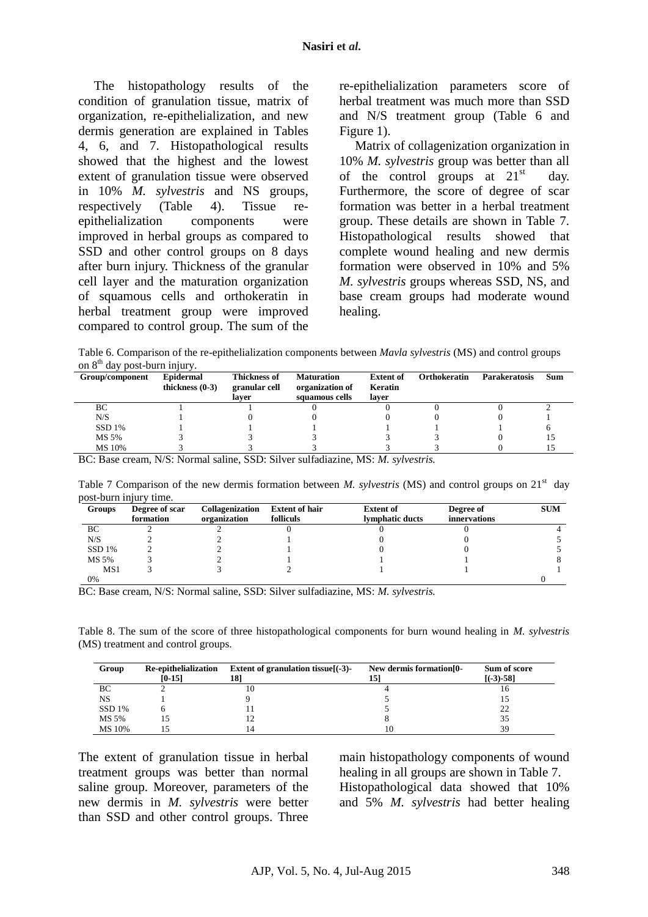The histopathology results of the condition of granulation tissue, matrix of organization, re-epithelialization, and new dermis generation are explained in Tables 4, 6, and 7. Histopathological results showed that the highest and the lowest extent of granulation tissue were observed in 10% *M. sylvestris* and NS groups, respectively (Table 4). Tissue reepithelialization components were improved in herbal groups as compared to SSD and other control groups on 8 days after burn injury. Thickness of the granular cell layer and the maturation organization of squamous cells and orthokeratin in herbal treatment group were improved compared to control group. The sum of the re-epithelialization parameters score of herbal treatment was much more than SSD and N/S treatment group (Table 6 and Figure 1).

Matrix of collagenization organization in 10% *M. sylvestris* group was better than all of the control groups at  $21<sup>st</sup>$  day. Furthermore, the score of degree of scar formation was better in a herbal treatment group. These details are shown in Table 7. Histopathological results showed that complete wound healing and new dermis formation were observed in 10% and 5% *M. sylvestris* groups whereas SSD, NS, and base cream groups had moderate wound healing.

Table 6. Comparison of the re-epithelialization components between *Mavla sylvestris* (MS) and control groups on  $8<sup>th</sup>$  day post-burn injury.

| Group/component | Epidermal<br>thickness $(0-3)$ | <b>Thickness of</b><br>granular cell<br>laver | <b>Maturation</b><br>organization of<br>squamous cells | <b>Extent of</b><br>Keratin<br>laver | <b>Orthokeratin</b> | <b>Parakeratosis</b> | Sum |
|-----------------|--------------------------------|-----------------------------------------------|--------------------------------------------------------|--------------------------------------|---------------------|----------------------|-----|
| BC              |                                |                                               |                                                        |                                      |                     |                      |     |
| N/S             |                                |                                               |                                                        |                                      |                     |                      |     |
| SSD1%           |                                |                                               |                                                        |                                      |                     |                      |     |
| MS 5%           |                                |                                               |                                                        |                                      |                     |                      |     |
| MS 10%          |                                |                                               |                                                        |                                      |                     |                      |     |

BC: Base cream, N/S: Normal saline, SSD: Silver sulfadiazine, MS: *M. sylvestris.*

Table 7 Comparison of the new dermis formation between *M. sylvestris* (MS) and control groups on  $21<sup>st</sup>$  day post-burn injury time.

| Groups          | Degree of scar<br>formation | Collagenization<br>organization | <b>Extent of hair</b><br>folliculs | <b>Extent of</b><br>lymphatic ducts | Degree of<br><i>innervations</i> | <b>SUM</b> |
|-----------------|-----------------------------|---------------------------------|------------------------------------|-------------------------------------|----------------------------------|------------|
| BC              |                             |                                 |                                    |                                     |                                  |            |
| N/S             |                             |                                 |                                    |                                     |                                  |            |
| SSD1%           |                             |                                 |                                    |                                     |                                  |            |
| MS 5%           |                             |                                 |                                    |                                     |                                  |            |
| MS <sub>1</sub> |                             |                                 |                                    |                                     |                                  |            |
| 0%              |                             |                                 |                                    |                                     |                                  |            |

BC: Base cream, N/S: Normal saline, SSD: Silver sulfadiazine, MS: *M. sylvestris.*

Table 8. The sum of the score of three histopathological components for burn wound healing in *M. sylvestris*  (MS) treatment and control groups.

| Group  | Re-epithelialization<br>$[0-15]$ | Extent of granulation tissue $( -3)$ -<br>18] | New dermis formation [0-<br>151 | Sum of score<br>$[(-3) - 58]$ |
|--------|----------------------------------|-----------------------------------------------|---------------------------------|-------------------------------|
| ВC     |                                  |                                               |                                 | 10                            |
| NS     |                                  |                                               |                                 |                               |
| SSD1%  |                                  |                                               |                                 | 22                            |
| MS 5%  |                                  |                                               |                                 | 35                            |
| MS 10% |                                  |                                               |                                 | 39                            |

The extent of granulation tissue in herbal treatment groups was better than normal saline group. Moreover, parameters of the new dermis in *M. sylvestris* were better than SSD and other control groups. Three main histopathology components of wound healing in all groups are shown in Table 7. Histopathological data showed that 10% and 5% *M. sylvestris* had better healing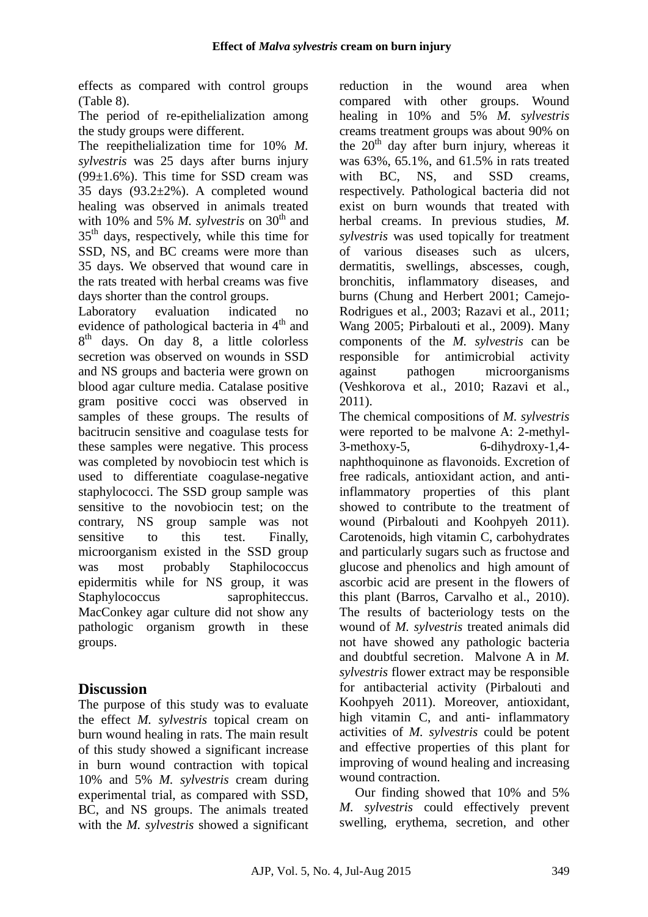effects as compared with control groups (Table 8).

The period of re-epithelialization among the study groups were different.

The reepithelialization time for 10% *M. sylvestris* was 25 days after burns injury  $(99\pm1.6\%)$ . This time for SSD cream was 35 days  $(93.2 \pm 2\%)$ . A completed wound healing was observed in animals treated with 10% and 5% *M. sylvestris* on 30<sup>th</sup> and  $35<sup>th</sup>$  days, respectively, while this time for SSD, NS, and BC creams were more than 35 days. We observed that wound care in the rats treated with herbal creams was five days shorter than the control groups.

Laboratory evaluation indicated no evidence of pathological bacteria in  $4<sup>th</sup>$  and 8<sup>th</sup> days. On day 8, a little colorless secretion was observed on wounds in SSD and NS groups and bacteria were grown on blood agar culture media. Catalase positive gram positive cocci was observed in samples of these groups. The results of bacitrucin sensitive and coagulase tests for these samples were negative. This process was completed by novobiocin test which is used to differentiate coagulase-negative staphylococci. The SSD group sample was sensitive to the novobiocin test; on the contrary, NS group sample was not sensitive to this test. Finally, microorganism existed in the SSD group was most probably Staphilococcus epidermitis while for NS group, it was Staphylococcus saprophiteccus. MacConkey agar culture did not show any pathologic organism growth in these groups.

# **Discussion**

The purpose of this study was to evaluate the effect *M. sylvestris* topical cream on burn wound healing in rats. The main result of this study showed a significant increase in burn wound contraction with topical 10% and 5% *M. sylvestris* cream during experimental trial, as compared with SSD, BC, and NS groups. The animals treated with the *M. sylvestris* showed a significant reduction in the wound area when compared with other groups. Wound healing in 10% and 5% *M. sylvestris* creams treatment groups was about 90% on the  $20<sup>th</sup>$  day after burn injury, whereas it was 63%, 65.1%, and 61.5% in rats treated with BC, NS, and SSD creams, respectively. Pathological bacteria did not exist on burn wounds that treated with herbal creams. In previous studies, *M. sylvestris* was used topically for treatment of various diseases such as ulcers, dermatitis, swellings, abscesses, cough, bronchitis, inflammatory diseases, and burns (Chung and Herbert 2001; Camejo-Rodrigues et al., 2003; Razavi et al., 2011; Wang 2005; Pirbalouti et al., 2009). Many components of the *M. sylvestris* can be responsible for antimicrobial activity against pathogen microorganisms (Veshkorova et al., 2010; Razavi et al., 2011).

The chemical compositions of *M. sylvestris* were reported to be malvone A: 2-methyl- $3$ -methoxy-5, 6-dihydroxy-1,4naphthoquinone as flavonoids. Excretion of free radicals, antioxidant action, and antiinflammatory properties of this plant showed to contribute to the treatment of wound (Pirbalouti and Koohpyeh 2011). Carotenoids, high vitamin C, carbohydrates and particularly sugars such as fructose and glucose and phenolics and high amount of ascorbic acid are present in the flowers of this plant (Barros, Carvalho et al., 2010). The results of bacteriology tests on the wound of *M. sylvestris* treated animals did not have showed any pathologic bacteria and doubtful secretion. Malvone A in *M. sylvestris* flower extract may be responsible for antibacterial activity (Pirbalouti and Koohpyeh 2011). Moreover, antioxidant, high vitamin C, and anti- inflammatory activities of *M. sylvestris* could be potent and effective properties of this plant for improving of wound healing and increasing wound contraction.

Our finding showed that 10% and 5% *M. sylvestris* could effectively prevent swelling, erythema, secretion, and other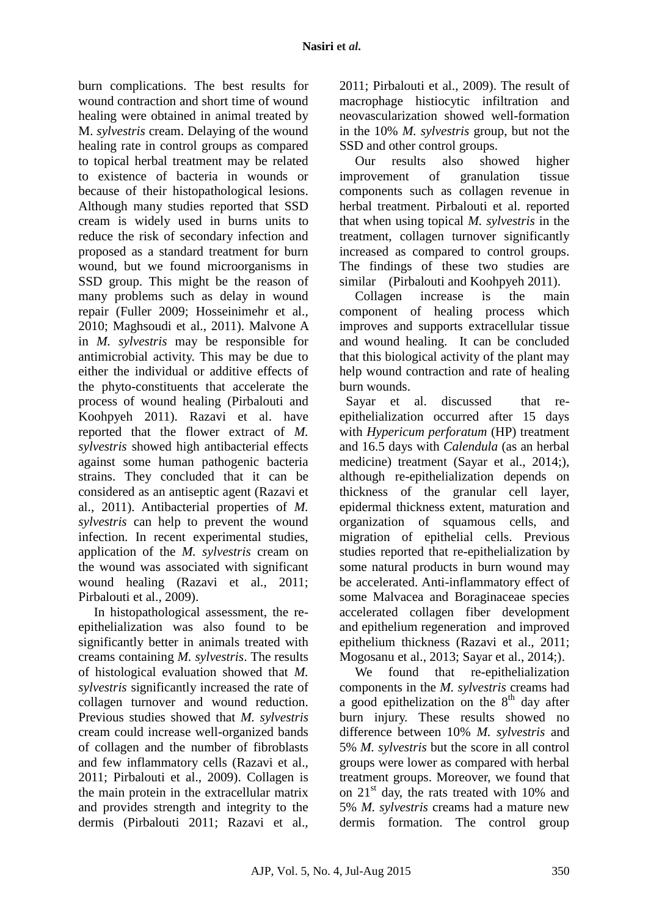burn complications. The best results for wound contraction and short time of wound healing were obtained in animal treated by M. *sylvestris* cream. Delaying of the wound healing rate in control groups as compared to topical herbal treatment may be related to existence of bacteria in wounds or because of their histopathological lesions. Although many studies reported that SSD cream is widely used in burns units to reduce the risk of secondary infection and proposed as a standard treatment for burn wound, but we found microorganisms in SSD group. This might be the reason of many problems such as delay in wound repair (Fuller 2009; Hosseinimehr et al., 2010; Maghsoudi et al., 2011). Malvone A in *M. sylvestris* may be responsible for antimicrobial activity. This may be due to either the individual or additive effects of the phyto-constituents that accelerate the process of wound healing (Pirbalouti and Koohpyeh 2011). Razavi et al. have reported that the flower extract of *M. sylvestris* showed high antibacterial effects against some human pathogenic bacteria strains. They concluded that it can be considered as an antiseptic agent (Razavi et al., 2011). Antibacterial properties of *M. sylvestris* can help to prevent the wound infection. In recent experimental studies, application of the *M. sylvestris* cream on the wound was associated with significant wound healing (Razavi et al., 2011; Pirbalouti et al., 2009).

In histopathological assessment, the reepithelialization was also found to be significantly better in animals treated with creams containing *M. sylvestris*. The results of histological evaluation showed that *M. sylvestris* significantly increased the rate of collagen turnover and wound reduction. Previous studies showed that *M. sylvestris* cream could increase well-organized bands of collagen and the number of fibroblasts and few inflammatory cells (Razavi et al., 2011; Pirbalouti et al., 2009). Collagen is the main protein in the extracellular matrix and provides strength and integrity to the dermis (Pirbalouti 2011; Razavi et al., 2011; Pirbalouti et al., 2009). The result of macrophage histiocytic infiltration and neovascularization showed well-formation in the 10% *M. sylvestris* group, but not the SSD and other control groups.

Our results also showed higher improvement of granulation tissue components such as collagen revenue in herbal treatment. Pirbalouti et al. reported that when using topical *M. sylvestris* in the treatment, collagen turnover significantly increased as compared to control groups. The findings of these two studies are similar (Pirbalouti and Koohpyeh 2011).

Collagen increase is the main component of healing process which improves and supports extracellular tissue and wound healing. It can be concluded that this biological activity of the plant may help wound contraction and rate of healing burn wounds.

Sayar et al. discussed that reepithelialization occurred after 15 days with *Hypericum perforatum* (HP) treatment and 16.5 days with *Calendula* (as an herbal medicine) treatment (Sayar et al., 2014;), although re-epithelialization depends on thickness of the granular cell layer, epidermal thickness extent, maturation and organization of squamous cells, and migration of epithelial cells. Previous studies reported that re-epithelialization by some natural products in burn wound may be accelerated. Anti-inflammatory effect of some Malvacea and Boraginaceae species accelerated collagen fiber development and epithelium regeneration and improved epithelium thickness (Razavi et al., 2011; Mogosanu et al., 2013; Sayar et al., 2014;).

We found that re-epithelialization components in the *M. sylvestris* creams had a good epithelization on the  $8<sup>th</sup>$  day after burn injury. These results showed no difference between 10% *M. sylvestris* and 5% *M. sylvestris* but the score in all control groups were lower as compared with herbal treatment groups. Moreover, we found that on 21<sup>st</sup> day, the rats treated with 10% and 5% *M. sylvestris* creams had a mature new dermis formation. The control group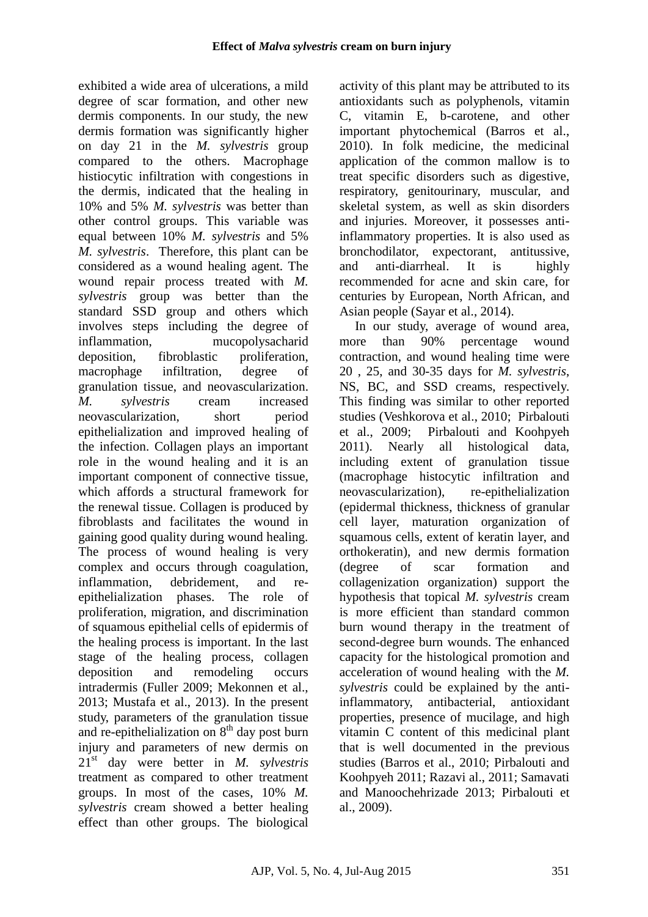exhibited a wide area of ulcerations, a mild degree of scar formation, and other new dermis components. In our study, the new dermis formation was significantly higher on day 21 in the *M. sylvestris* group compared to the others. Macrophage histiocytic infiltration with congestions in the dermis, indicated that the healing in 10% and 5% *M. sylvestris* was better than other control groups. This variable was equal between 10% *M. sylvestris* and 5% *M. sylvestris*. Therefore, this plant can be considered as a wound healing agent. The wound repair process treated with *M. sylvestris* group was better than the standard SSD group and others which involves steps including the degree of inflammation, mucopolysacharid deposition, fibroblastic proliferation, macrophage infiltration, degree of granulation tissue, and neovascularization. *M. sylvestris* cream increased neovascularization, short period epithelialization and improved healing of the infection. Collagen plays an important role in the wound healing and it is an important component of connective tissue, which affords a structural framework for the renewal tissue. Collagen is produced by fibroblasts and facilitates the wound in gaining good quality during wound healing. The process of wound healing is very complex and occurs through coagulation, inflammation, debridement, and reepithelialization phases. The role of proliferation, migration, and discrimination of squamous epithelial cells of epidermis of the healing process is important. In the last stage of the healing process, collagen deposition and remodeling occurs intradermis (Fuller 2009; Mekonnen et al., 2013; Mustafa et al., 2013). In the present study, parameters of the granulation tissue and re-epithelialization on  $8<sup>th</sup>$  day post burn injury and parameters of new dermis on 21st day were better in *M. sylvestris* treatment as compared to other treatment groups. In most of the cases, 10% *M. sylvestris* cream showed a better healing effect than other groups. The biological

activity of this plant may be attributed to its antioxidants such as polyphenols, vitamin C, vitamin E, b-carotene, and other important phytochemical (Barros et al., 2010). In folk medicine, the medicinal application of the common mallow is to treat specific disorders such as digestive, respiratory, genitourinary, muscular, and skeletal system, as well as skin disorders and injuries. Moreover, it possesses antiinflammatory properties. It is also used as bronchodilator, expectorant, antitussive, and anti-diarrheal. It is highly recommended for acne and skin care, for centuries by European, North African, and Asian people (Sayar et al., 2014).

In our study, average of wound area, more than 90% percentage wound contraction, and wound healing time were 20 , 25, and 30-35 days for *M. sylvestris*, NS, BC, and SSD creams, respectively. This finding was similar to other reported studies (Veshkorova et al., 2010; Pirbalouti et al., 2009; Pirbalouti and Koohpyeh 2011). Nearly all histological data, including extent of granulation tissue (macrophage histocytic infiltration and neovascularization), re-epithelialization (epidermal thickness, thickness of granular cell layer, maturation organization of squamous cells, extent of keratin layer, and orthokeratin), and new dermis formation (degree of scar formation and collagenization organization) support the hypothesis that topical *M. sylvestris* cream is more efficient than standard common burn wound therapy in the treatment of second-degree burn wounds. The enhanced capacity for the histological promotion and acceleration of wound healing with the *M. sylvestris* could be explained by the antiinflammatory, antibacterial, antioxidant properties, presence of mucilage, and high vitamin C content of this medicinal plant that is well documented in the previous studies (Barros et al., 2010; Pirbalouti and Koohpyeh 2011; Razavi al., 2011; Samavati and Manoochehrizade 2013; Pirbalouti et al., 2009).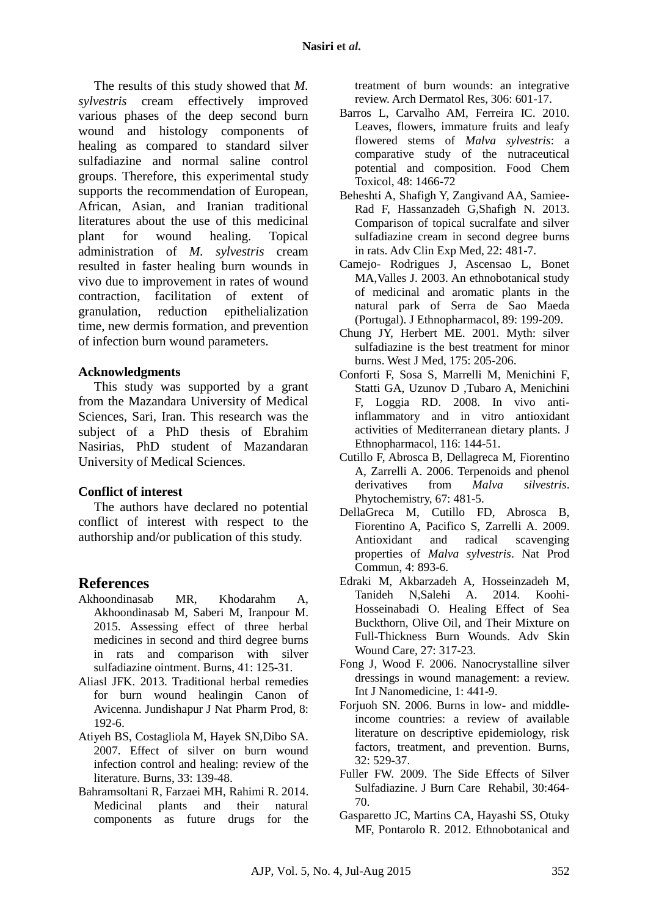The results of this study showed that *M. sylvestris* cream effectively improved various phases of the deep second burn wound and histology components of healing as compared to standard silver sulfadiazine and normal saline control groups. Therefore, this experimental study supports the recommendation of European, African, Asian, and Iranian traditional literatures about the use of this medicinal plant for wound healing. Topical administration of *M. sylvestris* cream resulted in faster healing burn wounds in vivo due to improvement in rates of wound contraction, facilitation of extent of granulation, reduction epithelialization time, new dermis formation, and prevention of infection burn wound parameters.

#### **Acknowledgments**

This study was supported by a grant from the Mazandara University of Medical Sciences, Sari, Iran. This research was the subject of a PhD thesis of Ebrahim Nasirias, PhD student of Mazandaran University of Medical Sciences.

### **Conflict of interest**

The authors have declared no potential conflict of interest with respect to the authorship and/or publication of this study.

## **References**

- Akhoondinasab MR, Khodarahm A, Akhoondinasab M, Saberi M, Iranpour M. 2015. Assessing effect of three herbal medicines in second and third degree burns in rats and comparison with silver sulfadiazine ointment. Burns, 41: 125-31.
- Aliasl JFK. 2013. Traditional herbal remedies for burn wound healingin Canon of Avicenna. Jundishapur J Nat Pharm Prod, 8: 192-6.
- Atiyeh BS, Costagliola M, Hayek SN,Dibo SA. 2007. Effect of silver on burn wound infection control and healing: review of the literature. Burns, 33: 139-48.
- Bahramsoltani R, Farzaei MH, Rahimi R. 2014. Medicinal plants and their natural components as future drugs for the

treatment of burn wounds: an integrative review. Arch Dermatol Res, 306: 601-17.

- Barros L, Carvalho AM, Ferreira IC. 2010. Leaves, flowers, immature fruits and leafy flowered stems of *Malva sylvestris*: a comparative study of the nutraceutical potential and composition. Food Chem Toxicol, 48: 1466-72
- Beheshti A, Shafigh Y, Zangivand AA, Samiee-Rad F, Hassanzadeh G,Shafigh N. 2013. Comparison of topical sucralfate and silver sulfadiazine cream in second degree burns in rats. Adv Clin Exp Med, 22: 481-7.
- Camejo- Rodrigues J, Ascensao L, Bonet MA,Valles J. 2003. An ethnobotanical study of medicinal and aromatic plants in the natural park of Serra de Sao Maeda (Portugal). J Ethnopharmacol, 89: 199-209.
- Chung JY, Herbert ME. 2001. Myth: silver sulfadiazine is the best treatment for minor burns. West J Med, 175: 205-206.
- Conforti F, Sosa S, Marrelli M, Menichini F, Statti GA, Uzunov D ,Tubaro A, Menichini F, Loggia RD. 2008. In vivo antiinflammatory and in vitro antioxidant activities of Mediterranean dietary plants. J Ethnopharmacol, 116: 144-51.
- Cutillo F, Abrosca B, Dellagreca M, Fiorentino A, Zarrelli A. 2006. Terpenoids and phenol derivatives from *Malva silvestris*. Phytochemistry, 67: 481-5.
- DellaGreca M, Cutillo FD, Abrosca B, Fiorentino A, Pacifico S, Zarrelli A. 2009. Antioxidant and radical scavenging properties of *Malva sylvestris*. Nat Prod Commun, 4: 893-6.
- Edraki M, Akbarzadeh A, Hosseinzadeh M, Tanideh N,Salehi A. 2014. Koohi-Hosseinabadi O. Healing Effect of Sea Buckthorn, Olive Oil, and Their Mixture on Full-Thickness Burn Wounds. Adv Skin Wound Care, 27: 317-23.
- Fong J, Wood F. 2006. Nanocrystalline silver dressings in wound management: a review. Int J Nanomedicine, 1: 441-9.
- Forjuoh SN. 2006. Burns in low- and middleincome countries: a review of available literature on descriptive epidemiology, risk factors, treatment, and prevention. Burns, 32: 529-37.
- Fuller FW. 2009. The Side Effects of Silver Sulfadiazine. J Burn Care Rehabil, 30:464- 70.
- Gasparetto JC, Martins CA, Hayashi SS, Otuky MF, Pontarolo R. 2012. Ethnobotanical and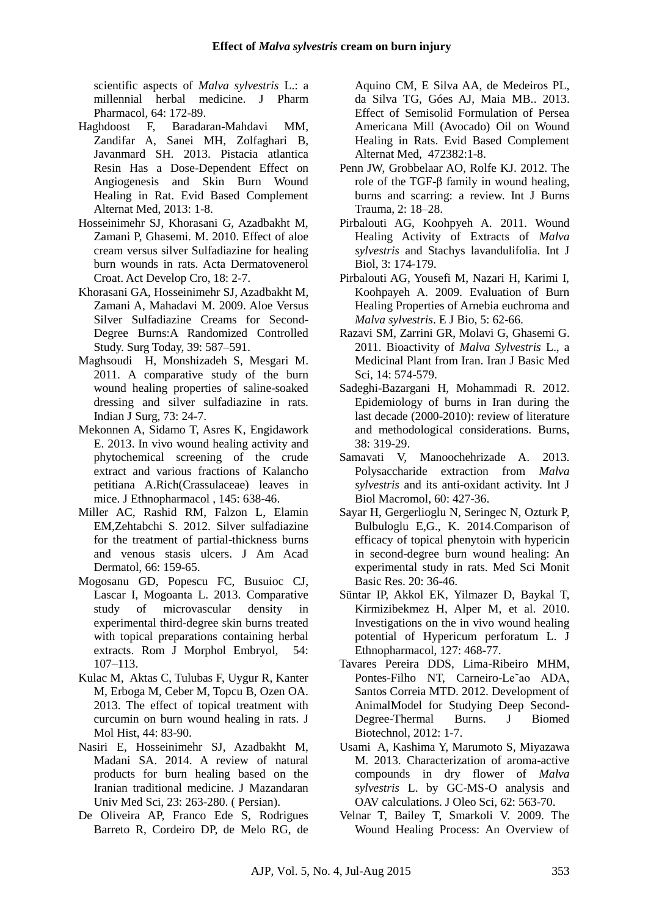scientific aspects of *Malva sylvestris* L.: a millennial herbal medicine. J Pharm

- Pharmacol, 64: 172-89.<br>Haghdoost F, Barada Baradaran-Mahdavi MM, Zandifar A, Sanei MH, Zolfaghari B, Javanmard SH. 2013. Pistacia atlantica Resin Has a Dose-Dependent Effect on Angiogenesis and Skin Burn Wound Healing in Rat. Evid Based Complement Alternat Med, 2013: 1-8.
- Hosseinimehr SJ, Khorasani G, Azadbakht M, Zamani P, Ghasemi. M. 2010. Effect of aloe cream versus silver Sulfadiazine for healing burn wounds in rats. Acta Dermatovenerol Croat. Act Develop Cro, 18: 2-7.
- Khorasani GA, Hosseinimehr SJ, Azadbakht M, Zamani A, Mahadavi M. 2009. Aloe Versus Silver Sulfadiazine Creams for Second-Degree Burns:A Randomized Controlled Study. Surg Today, 39: 587–591.
- Maghsoudi H, Monshizadeh S, Mesgari M. 2011. A comparative study of the burn wound healing properties of saline-soaked dressing and silver sulfadiazine in rats. Indian J Surg, 73: 24-7.
- Mekonnen A, Sidamo T, Asres K, Engidawork E. 2013. In vivo wound healing activity and phytochemical screening of the crude extract and various fractions of Kalancho petitiana A.Rich(Crassulaceae) leaves in mice. J Ethnopharmacol , 145: 638-46.
- Miller AC, Rashid RM, Falzon L, Elamin EM,Zehtabchi S. 2012. Silver sulfadiazine for the treatment of partial-thickness burns and venous stasis ulcers. J Am Acad Dermatol, 66: 159-65.
- Mogosanu GD, Popescu FC, Busuioc CJ, Lascar I, Mogoanta L. 2013. Comparative study of microvascular density in experimental third-degree skin burns treated with topical preparations containing herbal extracts. Rom J Morphol Embryol, 54: 107–113.
- Kulac M, Aktas C, Tulubas F, Uygur R, Kanter M, Erboga M, Ceber M, Topcu B, Ozen OA. 2013. The effect of topical treatment with curcumin on burn wound healing in rats. J Mol Hist, 44: 83-90.
- Nasiri E, Hosseinimehr SJ, Azadbakht M, Madani SA. 2014. A review of natural products for burn healing based on the Iranian traditional medicine. J Mazandaran Univ Med Sci, 23: 263-280. ( Persian).
- De Oliveira AP, Franco Ede S, Rodrigues Barreto R, Cordeiro DP, de Melo RG, de

Aquino CM, E Silva AA, de Medeiros PL, da Silva TG, Góes AJ, Maia MB.. 2013. Effect of Semisolid Formulation of Persea Americana Mill (Avocado) Oil on Wound Healing in Rats. Evid Based Complement Alternat Med, 472382:1-8.

- Penn JW, Grobbelaar AO, Rolfe KJ. 2012. The role of the TGF-β family in wound healing, burns and scarring: a review. Int J Burns Trauma, 2: 18–28.
- Pirbalouti AG, Koohpyeh A. 2011. Wound Healing Activity of Extracts of *Malva sylvestris* and Stachys lavandulifolia. Int J Biol, 3: 174-179.
- Pirbalouti AG, Yousefi M, Nazari H, Karimi I, Koohpayeh A. 2009. Evaluation of Burn Healing Properties of Arnebia euchroma and *Malva sylvestris*. E J Bio, 5: 62-66.
- Razavi SM, Zarrini GR, Molavi G, Ghasemi G. 2011. Bioactivity of *Malva Sylvestris* L., a Medicinal Plant from Iran. Iran J Basic Med Sci, 14: 574-579.
- Sadeghi-Bazargani H, Mohammadi R. 2012. Epidemiology of burns in Iran during the last decade (2000-2010): review of literature and methodological considerations. Burns, 38: 319-29.
- Samavati V, Manoochehrizade A. 2013. Polysaccharide extraction from *Malva sylvestris* and its anti-oxidant activity. Int J Biol Macromol, 60: 427-36.
- Sayar H, Gergerlioglu N, Seringec N, Ozturk P, Bulbuloglu E,G., K. 2014.Comparison of efficacy of topical phenytoin with hypericin in second-degree burn wound healing: An experimental study in rats. Med Sci Monit Basic Res. 20: 36-46.
- Süntar IP, Akkol EK, Yilmazer D, Baykal T, Kirmizibekmez H, Alper M, et al. 2010. Investigations on the in vivo wound healing potential of Hypericum perforatum L. J Ethnopharmacol, 127: 468-77.
- Tavares Pereira DDS, Lima-Ribeiro MHM, Pontes-Filho NT, Carneiro-Le˜ao ADA, Santos Correia MTD. 2012. Development of AnimalModel for Studying Deep Second-Degree-Thermal Burns. J Biomed Biotechnol, 2012: 1-7.
- Usami A, Kashima Y, Marumoto S, Miyazawa M. 2013. Characterization of aroma-active compounds in dry flower of *Malva sylvestris* L. by GC-MS-O analysis and OAV calculations. J Oleo Sci, 62: 563-70.
- Velnar T, Bailey T, Smarkoli V. 2009. The Wound Healing Process: An Overview of